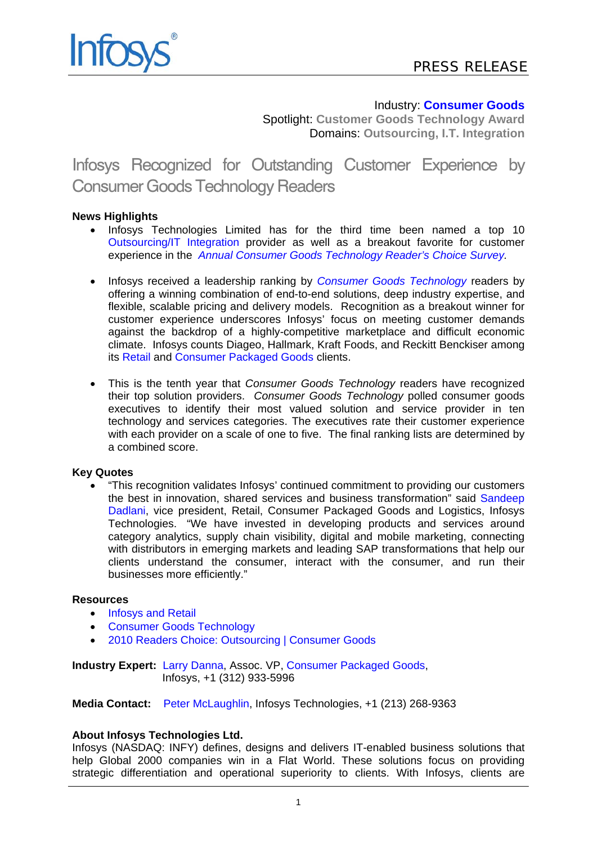# Industry: **[Consumer Goods](http://www.infosys.com/offerings/industries/consumer-packaged-goods/Pages/index.aspx)**

Spotlight: **Customer Goods Technology Award** Domains: **Outsourcing, I.T. Integration**

Infosys Recognized for Outstanding Customer Experience by Consumer Goods Technology Readers

## **News Highlights**

- Infosys Technologies Limited has for the third time been named a top 10 [Outsourcing/IT Integration](http://www.consumergoods.com/ME2/Sites/dirsect.asp?sid=F3CD091F667D456583383EC426342554&nm=2010+Readers+Choice:%20Outsourcing&SiteID=54A2EAE848CB492AAE67A421C0252078) provider as well as a breakout favorite for customer experience in the *[Annual Consumer Goods Technology Reader's Choice](http://www.consumergoods.com/ME2/Sites/dirsect.asp?sid=711C97CFEC4C4BF7A25E5975BFE68D4D&nm=2010+Readers+Choice:%20Main&SiteID=54A2EAE848CB492AAE67A421C0252078) Survey.*
- Infosys received a leadership ranking by *[Consumer Goods Technology](http://www.consumergoods.com/)* readers by offering a winning combination of end-to-end solutions, deep industry expertise, and flexible, scalable pricing and delivery models. Recognition as a breakout winner for customer experience underscores Infosys' focus on meeting customer demands against the backdrop of a highly-competitive marketplace and difficult economic climate. Infosys counts Diageo, Hallmark, Kraft Foods, and Reckitt Benckiser among its [Retail](http://www.infosys.com/offerings/industries/retail/Pages/index.aspx) and [Consumer Packaged Goods](http://www.consumergoods.com/ME2/Sites/dirsect.asp?sid=711C97CFEC4C4BF7A25E5975BFE68D4D&nm=2010+Readers+Choice:%20Main&SiteID=54A2EAE848CB492AAE67A421C0252078) clients.
- This is the tenth year that *Consumer Goods Technology* readers have recognized their top solution providers. *Consumer Goods Technology* polled consumer goods executives to identify their most valued solution and service provider in ten technology and services categories. The executives rate their customer experience with each provider on a scale of one to five. The final ranking lists are determined by a combined score.

### **Key Quotes**

 "This recognition validates Infosys' continued commitment to providing our customers the best in innovation, shared services and business transformation" said [Sandeep](mailto:sandeep_dadlani@infosys.com)  [Dadlani,](mailto:sandeep_dadlani@infosys.com) vice president, Retail, Consumer Packaged Goods and Logistics, Infosys Technologies. "We have invested in developing products and services around category analytics, supply chain visibility, digital and mobile marketing, connecting with distributors in emerging markets and leading SAP transformations that help our clients understand the consumer, interact with the consumer, and run their businesses more efficiently."

### **Resources**

- [Infosys and Retail](http://www.infosys.com/offerings/industries/consumer-packaged-goods/Pages/index.aspx)
- [Consumer Goods Technology](http://www.consumergoods.com/)
- [2010 Readers Choice: Outsourcing](http://www.consumergoods.com/ME2/Sites/dirsect.asp?sid=F3CD091F667D456583383EC426342554&nm=2010+Readers+Choice:%20Outsourcing&SiteID=54A2EAE848CB492AAE67A421C0252078) | [Consumer Goods](http://www.consumergoods.com/ME2/Sites/dirsect.asp?sid=F3CD091F667D456583383EC426342554&nm=2010+Readers+Choice:%20Outsourcing&SiteID=54A2EAE848CB492AAE67A421C0252078)

**Industry Expert:** [Larry Danna,](mailto:larry_danna@infosys.com) Assoc. VP, [Consumer Packaged Goods,](http://www.infosys.com/offerings/industries/consumer-packaged-goods/Pages/index.aspx) Infosys, +1 (312) 933-5996

**Media Contact:** [Peter McLaughlin,](mailto:peter_mclaughlin@infosys.com) Infosys Technologies, +1 (213) 268-9363

### **About Infosys Technologies Ltd.**

Infosys (NASDAQ: INFY) defines, designs and delivers IT-enabled business solutions that help Global 2000 companies win in a Flat World. These solutions focus on providing strategic differentiation and operational superiority to clients. With Infosys, clients are